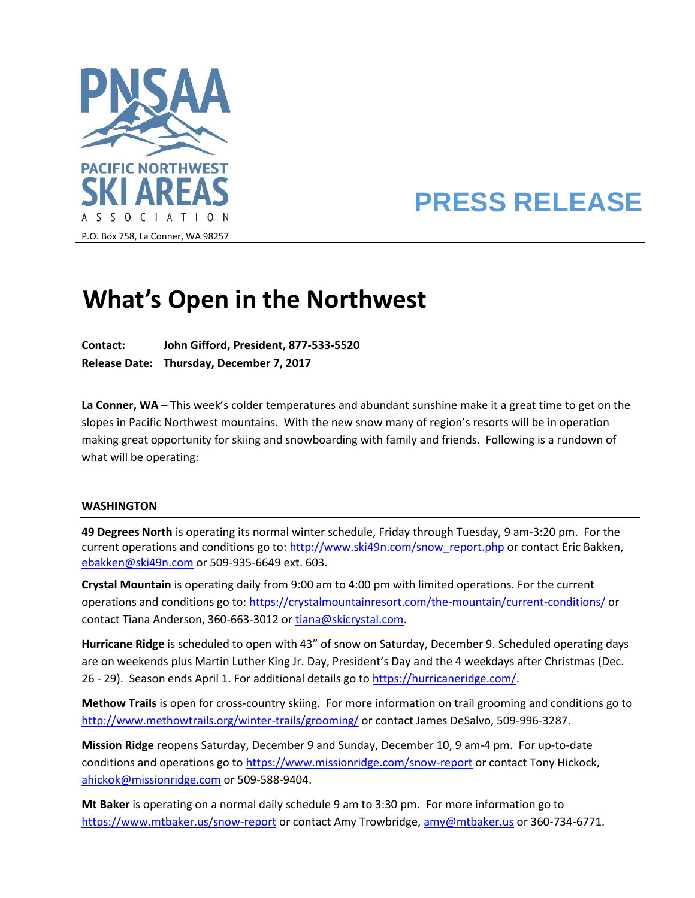

# **PRESS RELEASE**

# **What's Open in the Northwest**

**Contact: John Gifford, President, 877-533-5520 Release Date: Thursday, December 7, 2017**

**La Conner, WA** – This week's colder temperatures and abundant sunshine make it a great time to get on the slopes in Pacific Northwest mountains. With the new snow many of region's resorts will be in operation making great opportunity for skiing and snowboarding with family and friends. Following is a rundown of what will be operating:

## **WASHINGTON**

**49 Degrees North** is operating its normal winter schedule, Friday through Tuesday, 9 am-3:20 pm. For the current operations and conditions go to: [http://www.ski49n.com/snow\\_report.php](http://www.ski49n.com/snow_report.php) or contact Eric Bakken, [ebakken@ski49n.com](mailto:ebakken@ski49n.com) or 509-935-6649 ext. 603.

**Crystal Mountain** is operating daily from 9:00 am to 4:00 pm with limited operations. For the current operations and conditions go to[: https://crystalmountainresort.com/the-mountain/current-conditions/](https://crystalmountainresort.com/the-mountain/current-conditions/) or contact Tiana Anderson, 360-663-3012 or [tiana@skicrystal.com.](mailto:tiana@skicrystal.com)

**Hurricane Ridge** is scheduled to open with 43" of snow on Saturday, December 9. Scheduled operating days are on weekends plus Martin Luther King Jr. Day, President's Day and the 4 weekdays after Christmas (Dec. 26 - 29). Season ends April 1. For additional details go to [https://hurricaneridge.com/.](https://hurricaneridge.com/)

**Methow Trails** is open for cross-country skiing. For more information on trail grooming and conditions go to <http://www.methowtrails.org/winter-trails/grooming/> or contact James DeSalvo, 509-996-3287.

**Mission Ridge** reopens Saturday, December 9 and Sunday, December 10, 9 am-4 pm. For up-to-date conditions and operations go t[o https://www.missionridge.com/snow-report](https://www.missionridge.com/snow-report) or contact Tony Hickock, [ahickok@missionridge.com](mailto:ahickok@missionridge.com) or 509-588-9404.

**Mt Baker** is operating on a normal daily schedule 9 am to 3:30 pm. For more information go to <https://www.mtbaker.us/snow-report> or contact Amy Trowbridge, [amy@mtbaker.us](mailto:amy@mtbaker.us) or 360-734-6771.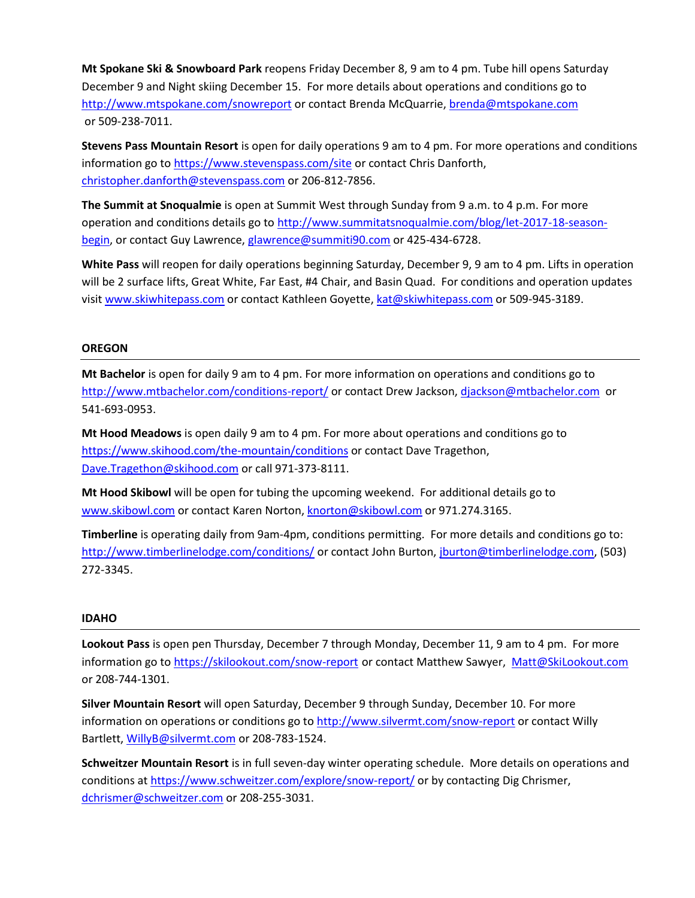**Mt Spokane Ski & Snowboard Park** reopens Friday December 8, 9 am to 4 pm. Tube hill opens Saturday December 9 and Night skiing December 15. For more details about operations and conditions go to <http://www.mtspokane.com/snowreport> or contact Brenda McQuarrie[, brenda@mtspokane.com](mailto:brenda@mtspokane.com) or 509-238-7011.

**Stevens Pass Mountain Resort** is open for daily operations 9 am to 4 pm. For more operations and conditions information go to<https://www.stevenspass.com/site> or contact Chris Danforth, [christopher.danforth@stevenspass.com](mailto:christopher.danforth@stevenspass.com) or 206-812-7856.

**The Summit at Snoqualmie** is open at Summit West through Sunday from 9 a.m. to 4 p.m. For more operation and conditions details go to [http://www.summitatsnoqualmie.com/blog/let-2017-18-season](http://www.summitatsnoqualmie.com/blog/let-2017-18-season-begin)[begin,](http://www.summitatsnoqualmie.com/blog/let-2017-18-season-begin) or contact Guy Lawrence[, glawrence@summiti90.com](mailto:glawrence@summiti90.com) or 425-434-6728.

**White Pass** will reopen for daily operations beginning Saturday, December 9, 9 am to 4 pm. Lifts in operation will be 2 surface lifts, Great White, Far East, #4 Chair, and Basin Quad. For conditions and operation updates visi[t www.skiwhitepass.com](http://www.skiwhitepass.com/) or contact Kathleen Goyette, [kat@skiwhitepass.com](mailto:kat@skiwhitepass.com) or 509-945-3189.

## **OREGON**

**Mt Bachelor** is open for daily 9 am to 4 pm. For more information on operations and conditions go to <http://www.mtbachelor.com/conditions-report/> or contact Drew Jackson, [djackson@mtbachelor.com](mailto:djackson@mtbachelor.com) or 541-693-0953.

**Mt Hood Meadows** is open daily 9 am to 4 pm. For more about operations and conditions go to <https://www.skihood.com/the-mountain/conditions> or contact Dave Tragethon, [Dave.Tragethon@skihood.com](mailto:Dave.Tragethon@skihood.com) or call 971-373-8111.

**Mt Hood Skibowl** will be open for tubing the upcoming weekend. For additional details go to [www.skibowl.com](http://www.skibowl.com/) or contact Karen Norton[, knorton@skibowl.com](mailto:knorton@skibowl.com) or 971.274.3165.

**Timberline** is operating daily from 9am-4pm, conditions permitting. For more details and conditions go to: <http://www.timberlinelodge.com/conditions/> or contact John Burton, [jburton@timberlinelodge.com,](mailto:jburton@timberlinelodge.com) (503) 272-3345.

## **IDAHO**

**Lookout Pass** is open pen Thursday, December 7 through Monday, December 11, 9 am to 4 pm. For more information go to<https://skilookout.com/snow-report> or contact Matthew Sawyer, [Matt@SkiLookout.com](mailto:Matt@SkiLookout.com) or 208-744-1301.

**Silver Mountain Resort** will open Saturday, December 9 through Sunday, December 10. For more information on operations or conditions go to<http://www.silvermt.com/snow-report> or contact Willy Bartlett, [WillyB@silvermt.com](mailto:WillyB@silvermt.com) or 208-783-1524.

**Schweitzer Mountain Resort** is in full seven-day winter operating schedule. More details on operations and conditions a[t https://www.schweitzer.com/explore/snow-report/](https://www.schweitzer.com/explore/snow-report/) or by contacting Dig Chrismer, [dchrismer@schweitzer.com](mailto:dchrismer@schweitzer.com) or 208-255-3031.